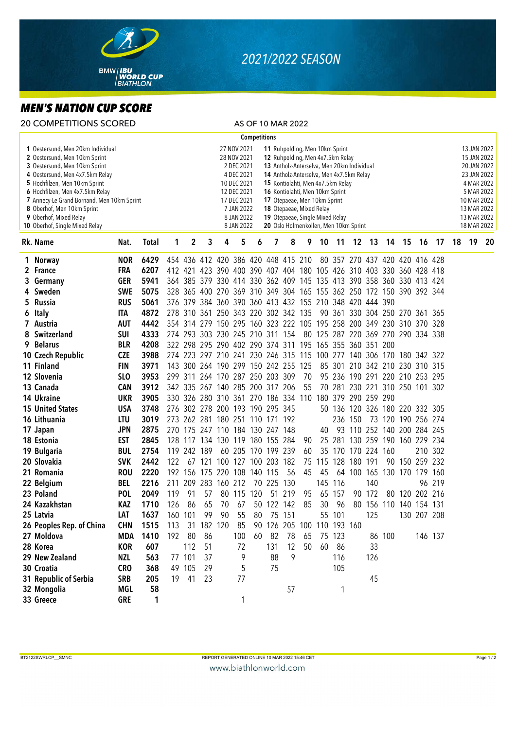

## *2021/2022 SEASON*

## *MEN'S NATION CUP SCORE*

|                                                                                                                                                                                                                                                                                                                                                    | <b>20 COMPETITIONS SCORED</b> |                 |              |                                                                                                                                                                                                                                                                                                                                                                                                                                                                                                                               |             |                     |         |     |            | AS OF 10 MAR 2022               |                                                                     |    |                                    |         |                     |        |        |                                |                                                                                                                                                  |         |    |    |    |
|----------------------------------------------------------------------------------------------------------------------------------------------------------------------------------------------------------------------------------------------------------------------------------------------------------------------------------------------------|-------------------------------|-----------------|--------------|-------------------------------------------------------------------------------------------------------------------------------------------------------------------------------------------------------------------------------------------------------------------------------------------------------------------------------------------------------------------------------------------------------------------------------------------------------------------------------------------------------------------------------|-------------|---------------------|---------|-----|------------|---------------------------------|---------------------------------------------------------------------|----|------------------------------------|---------|---------------------|--------|--------|--------------------------------|--------------------------------------------------------------------------------------------------------------------------------------------------|---------|----|----|----|
| <b>Competitions</b>                                                                                                                                                                                                                                                                                                                                |                               |                 |              |                                                                                                                                                                                                                                                                                                                                                                                                                                                                                                                               |             |                     |         |     |            |                                 |                                                                     |    |                                    |         |                     |        |        |                                |                                                                                                                                                  |         |    |    |    |
| 1 Oestersund, Men 20km Individual<br>2 Oestersund, Men 10km Sprint<br>3 Oestersund, Men 10km Sprint<br>4 Oestersund, Men 4x7.5km Relay<br>5 Hochfilzen, Men 10km Sprint<br>6 Hochfilzen, Men 4x7.5km Relay<br>7 Annecy-Le Grand Bornand, Men 10km Sprint<br>8 Oberhof, Men 10km Sprint<br>9 Oberhof, Mixed Relay<br>10 Oberhof, Single Mixed Relay |                               |                 |              | 27 NOV 2021<br>11 Ruhpolding, Men 10km Sprint<br>28 NOV 2021<br>12 Ruhpolding, Men 4x7.5km Relay<br>2 DEC 2021<br>13 Antholz-Anterselva, Men 20km Individual<br>4 DEC 2021<br>14 Antholz-Anterselva, Men 4x7.5km Relay<br>10 DEC 2021<br>15 Kontiolahti, Men 4x7.5km Relay<br>12 DEC 2021<br>16 Kontiolahti, Men 10km Sprint<br>17 DEC 2021<br>17 Otepaeae, Men 10km Sprint<br>7 JAN 2022<br>18 Otepaeae, Mixed Relay<br>19 Otepaeae, Single Mixed Relay<br>8 JAN 2022<br>8 JAN 2022<br>20 Oslo Holmenkollen, Men 10km Sprint |             |                     |         |     |            |                                 |                                                                     |    |                                    |         |                     |        |        |                                | 13 JAN 2022<br>15 JAN 2022<br>20 JAN 2022<br>23 JAN 2022<br>4 MAR 2022<br>5 MAR 2022<br>10 MAR 2022<br>13 MAR 2022<br>13 MAR 2022<br>18 MAR 2022 |         |    |    |    |
|                                                                                                                                                                                                                                                                                                                                                    | Rk. Name                      | Nat.            | <b>Total</b> | 1                                                                                                                                                                                                                                                                                                                                                                                                                                                                                                                             | $\mathbf 2$ | 3                   | 4       | 5   | 6          | 7                               | 8                                                                   | 9  | 10                                 | 11      |                     | 12 13  |        | 14 15                          | 16                                                                                                                                               | 17      | 18 | 19 | 20 |
|                                                                                                                                                                                                                                                                                                                                                    | 1 Norway                      | <b>NOR</b>      | 6429         |                                                                                                                                                                                                                                                                                                                                                                                                                                                                                                                               |             |                     |         |     |            |                                 | 454 436 412 420 386 420 448 415 210                                 |    |                                    |         |                     |        |        | 80 357 270 437 420 420 416 428 |                                                                                                                                                  |         |    |    |    |
|                                                                                                                                                                                                                                                                                                                                                    | 2 France                      | <b>FRA</b>      | 6207         |                                                                                                                                                                                                                                                                                                                                                                                                                                                                                                                               |             |                     |         |     |            |                                 | 412 421 423 390 400 390 407 404 180 105 426 310 403 330 360 428 418 |    |                                    |         |                     |        |        |                                |                                                                                                                                                  |         |    |    |    |
|                                                                                                                                                                                                                                                                                                                                                    | 3 Germany                     | <b>GER</b>      | 5941         |                                                                                                                                                                                                                                                                                                                                                                                                                                                                                                                               |             |                     |         |     |            |                                 | 364 385 379 330 414 330 362 409 145 135 413 390 358 360 330 413 424 |    |                                    |         |                     |        |        |                                |                                                                                                                                                  |         |    |    |    |
|                                                                                                                                                                                                                                                                                                                                                    | 4 Sweden                      | <b>SWE</b>      | 5075         |                                                                                                                                                                                                                                                                                                                                                                                                                                                                                                                               |             |                     |         |     |            |                                 | 328 365 400 270 369 310 349 304 165 155 362 250 172 150 390 392 344 |    |                                    |         |                     |        |        |                                |                                                                                                                                                  |         |    |    |    |
|                                                                                                                                                                                                                                                                                                                                                    | 5 Russia                      | <b>RUS</b>      | 5061         |                                                                                                                                                                                                                                                                                                                                                                                                                                                                                                                               |             |                     |         |     |            |                                 | 376 379 384 360 390 360 413 432 155 210 348 420 444 390             |    |                                    |         |                     |        |        |                                |                                                                                                                                                  |         |    |    |    |
| 6                                                                                                                                                                                                                                                                                                                                                  | Italy                         | <b>ITA</b>      | 4872         |                                                                                                                                                                                                                                                                                                                                                                                                                                                                                                                               |             |                     |         |     |            |                                 | 278 310 361 250 343 220 302 342 135                                 |    |                                    |         |                     |        |        | 90 361 330 304 250 270 361 365 |                                                                                                                                                  |         |    |    |    |
|                                                                                                                                                                                                                                                                                                                                                    | 7 Austria                     | <b>AUT</b>      | 4442         |                                                                                                                                                                                                                                                                                                                                                                                                                                                                                                                               |             |                     |         |     |            |                                 | 354 314 279 150 295 160 323 222 105 195 258 200 349 230 310 370 328 |    |                                    |         |                     |        |        |                                |                                                                                                                                                  |         |    |    |    |
| 8                                                                                                                                                                                                                                                                                                                                                  | Switzerland                   | <b>SUI</b>      | 4333         |                                                                                                                                                                                                                                                                                                                                                                                                                                                                                                                               |             |                     |         |     |            | 274 293 303 230 245 210 311 154 |                                                                     |    | 80 125 287 220 369 270 290 334 338 |         |                     |        |        |                                |                                                                                                                                                  |         |    |    |    |
|                                                                                                                                                                                                                                                                                                                                                    | 9 Belarus                     | <b>BLR</b>      | 4208         |                                                                                                                                                                                                                                                                                                                                                                                                                                                                                                                               |             |                     |         |     |            |                                 | 322 298 295 290 402 290 374 311 195 165 355 360 351 200             |    |                                    |         |                     |        |        |                                |                                                                                                                                                  |         |    |    |    |
|                                                                                                                                                                                                                                                                                                                                                    | 10 Czech Republic             | <b>CZE</b>      | 3988         |                                                                                                                                                                                                                                                                                                                                                                                                                                                                                                                               |             |                     |         |     |            |                                 | 274 223 297 210 241 230 246 315 115 100 277 140 306 170 180 342 322 |    |                                    |         |                     |        |        |                                |                                                                                                                                                  |         |    |    |    |
|                                                                                                                                                                                                                                                                                                                                                    | 11 Finland                    | <b>FIN</b>      | 3971         |                                                                                                                                                                                                                                                                                                                                                                                                                                                                                                                               |             |                     |         |     |            |                                 | 143 300 264 190 299 150 242 255 125                                 |    |                                    |         |                     |        |        | 85 301 210 342 210 230 310 315 |                                                                                                                                                  |         |    |    |    |
|                                                                                                                                                                                                                                                                                                                                                    | 12 Slovenia                   | SL <sub>O</sub> | 3953         |                                                                                                                                                                                                                                                                                                                                                                                                                                                                                                                               |             |                     |         |     |            | 299 311 264 170 287 250 203 309 |                                                                     | 70 |                                    |         |                     |        |        | 95 236 190 291 220 210 253 295 |                                                                                                                                                  |         |    |    |    |
|                                                                                                                                                                                                                                                                                                                                                    | 13 Canada                     | <b>CAN</b>      | 3912         |                                                                                                                                                                                                                                                                                                                                                                                                                                                                                                                               |             |                     |         |     |            | 342 335 267 140 285 200 317 206 |                                                                     | 55 |                                    |         |                     |        |        | 70 281 230 221 310 250 101 302 |                                                                                                                                                  |         |    |    |    |
|                                                                                                                                                                                                                                                                                                                                                    | 14 Ukraine                    | <b>UKR</b>      | 3905         |                                                                                                                                                                                                                                                                                                                                                                                                                                                                                                                               |             |                     |         |     |            |                                 | 330 326 280 310 361 270 186 334 110                                 |    |                                    |         | 180 379 290 259 290 |        |        |                                |                                                                                                                                                  |         |    |    |    |
|                                                                                                                                                                                                                                                                                                                                                    | <b>15 United States</b>       | <b>USA</b>      | 3748         |                                                                                                                                                                                                                                                                                                                                                                                                                                                                                                                               |             |                     |         |     |            | 276 302 278 200 193 190 295 345 |                                                                     |    |                                    |         |                     |        |        | 50 136 120 326 180 220 332 305 |                                                                                                                                                  |         |    |    |    |
|                                                                                                                                                                                                                                                                                                                                                    | 16 Lithuania                  | <b>LTU</b>      | 3019         |                                                                                                                                                                                                                                                                                                                                                                                                                                                                                                                               |             |                     |         |     |            | 273 262 281 180 251 110 171 192 |                                                                     |    |                                    |         | 236 150             | 73     |        | 120 190 256 274                |                                                                                                                                                  |         |    |    |    |
|                                                                                                                                                                                                                                                                                                                                                    | 17 Japan                      | <b>JPN</b>      | 2875         |                                                                                                                                                                                                                                                                                                                                                                                                                                                                                                                               |             |                     |         |     |            | 270 175 247 110 184 130 247 148 |                                                                     |    | 40                                 |         |                     |        |        | 93 110 252 140 200 284 245     |                                                                                                                                                  |         |    |    |    |
|                                                                                                                                                                                                                                                                                                                                                    | 18 Estonia                    | <b>EST</b>      | 2845         |                                                                                                                                                                                                                                                                                                                                                                                                                                                                                                                               |             |                     |         |     |            | 128 117 134 130 119 180 155 284 |                                                                     | 90 |                                    |         |                     |        |        | 25 281 130 259 190 160 229 234 |                                                                                                                                                  |         |    |    |    |
|                                                                                                                                                                                                                                                                                                                                                    | 19 Bulgaria                   | <b>BUL</b>      | 2754         | 119                                                                                                                                                                                                                                                                                                                                                                                                                                                                                                                           | 242 189     |                     |         |     |            | 60 205 170 199 239              |                                                                     | 60 |                                    |         | 35 170 170 224 160  |        |        |                                |                                                                                                                                                  | 210 302 |    |    |    |
|                                                                                                                                                                                                                                                                                                                                                    | 20 Slovakia                   | <b>SVK</b>      | 2442         | 122                                                                                                                                                                                                                                                                                                                                                                                                                                                                                                                           | 67          | 121                 |         |     |            | 100 127 100 203 182             |                                                                     | 75 | 115                                | 128     | 180 191             |        | 90     |                                | 150 259 232                                                                                                                                      |         |    |    |    |
|                                                                                                                                                                                                                                                                                                                                                    | 21 Romania                    | <b>ROU</b>      | 2220         |                                                                                                                                                                                                                                                                                                                                                                                                                                                                                                                               |             | 192 156 175 220 108 |         |     |            | 140 115                         | 56                                                                  | 45 | 45                                 |         |                     |        |        | 64 100 165 130 170 179 160     |                                                                                                                                                  |         |    |    |    |
|                                                                                                                                                                                                                                                                                                                                                    | 22 Belgium                    | <b>BEL</b>      | 2216         | 211                                                                                                                                                                                                                                                                                                                                                                                                                                                                                                                           |             | 209 283             | 160 212 |     |            | 70 225 130                      |                                                                     |    |                                    | 145 116 |                     | 140    |        |                                |                                                                                                                                                  | 96 219  |    |    |    |
|                                                                                                                                                                                                                                                                                                                                                    | 23 Poland                     | <b>POL</b>      | 2049         | 119                                                                                                                                                                                                                                                                                                                                                                                                                                                                                                                           | 91          | 57                  |         |     | 80 115 120 |                                 | 51 219                                                              | 95 | 65                                 | 157     |                     | 90 172 |        | 80 120 202 216                 |                                                                                                                                                  |         |    |    |    |
|                                                                                                                                                                                                                                                                                                                                                    | 24 Kazakhstan                 | <b>KAZ</b>      | 1710         | 126                                                                                                                                                                                                                                                                                                                                                                                                                                                                                                                           | 86          | 65                  | 70      | 67  |            | 50 122 142                      |                                                                     | 85 | $30\,$                             | 96      |                     |        |        | 80 156 110 140 154 131         |                                                                                                                                                  |         |    |    |    |
|                                                                                                                                                                                                                                                                                                                                                    | 25 Latvia                     | LAT             | 1637         | 160 101                                                                                                                                                                                                                                                                                                                                                                                                                                                                                                                       |             | 99                  | 90      | 55  | 80         |                                 | 75 151                                                              |    |                                    | 55 101  |                     | 125    |        |                                | 130 207 208                                                                                                                                      |         |    |    |    |
|                                                                                                                                                                                                                                                                                                                                                    | 26 Peoples Rep. of China      | <b>CHN</b>      | 1515         | 113                                                                                                                                                                                                                                                                                                                                                                                                                                                                                                                           | 31          |                     | 182 120 | 85  |            |                                 | 90 126 205 100                                                      |    | 110 193 160                        |         |                     |        |        |                                |                                                                                                                                                  |         |    |    |    |
|                                                                                                                                                                                                                                                                                                                                                    | 27 Moldova                    | <b>MDA</b>      | 1410         | 192                                                                                                                                                                                                                                                                                                                                                                                                                                                                                                                           | 80          | 86                  |         | 100 | 60         | 82                              | 78                                                                  | 65 |                                    | 75 123  |                     |        | 86 100 |                                | 146 137                                                                                                                                          |         |    |    |    |
|                                                                                                                                                                                                                                                                                                                                                    | 28 Korea                      | <b>KOR</b>      | 607          |                                                                                                                                                                                                                                                                                                                                                                                                                                                                                                                               | 112         | 51                  |         | 72  |            | 131                             | 12                                                                  | 50 | 60                                 | 86      |                     | 33     |        |                                |                                                                                                                                                  |         |    |    |    |
|                                                                                                                                                                                                                                                                                                                                                    | 29 New Zealand                | NZL             | 563          |                                                                                                                                                                                                                                                                                                                                                                                                                                                                                                                               | 77 101      | 37                  |         | 9   |            | 88                              | 9                                                                   |    |                                    | 116     |                     | 126    |        |                                |                                                                                                                                                  |         |    |    |    |
|                                                                                                                                                                                                                                                                                                                                                    | 30 Croatia                    | <b>CRO</b>      | 368          |                                                                                                                                                                                                                                                                                                                                                                                                                                                                                                                               | 49 105      | 29                  |         | 5   |            | 75                              |                                                                     |    |                                    | 105     |                     |        |        |                                |                                                                                                                                                  |         |    |    |    |
|                                                                                                                                                                                                                                                                                                                                                    | 31 Republic of Serbia         | <b>SRB</b>      | 205          | 19                                                                                                                                                                                                                                                                                                                                                                                                                                                                                                                            | 41          | 23                  |         | 77  |            |                                 |                                                                     |    |                                    |         |                     | 45     |        |                                |                                                                                                                                                  |         |    |    |    |
|                                                                                                                                                                                                                                                                                                                                                    | 32 Mongolia                   | MGL             | 58           |                                                                                                                                                                                                                                                                                                                                                                                                                                                                                                                               |             |                     |         |     |            |                                 | 57                                                                  |    |                                    | 1       |                     |        |        |                                |                                                                                                                                                  |         |    |    |    |
|                                                                                                                                                                                                                                                                                                                                                    | 33 Greece                     | <b>GRE</b>      | 1            |                                                                                                                                                                                                                                                                                                                                                                                                                                                                                                                               |             |                     |         | 1   |            |                                 |                                                                     |    |                                    |         |                     |        |        |                                |                                                                                                                                                  |         |    |    |    |
|                                                                                                                                                                                                                                                                                                                                                    |                               |                 |              |                                                                                                                                                                                                                                                                                                                                                                                                                                                                                                                               |             |                     |         |     |            |                                 |                                                                     |    |                                    |         |                     |        |        |                                |                                                                                                                                                  |         |    |    |    |